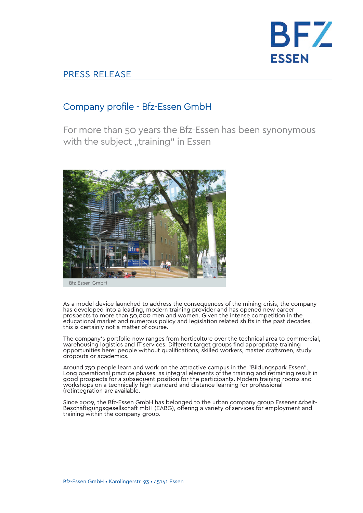

## PRESS RELEASE

## Company profile - Bfz-Essen GmbH

For more than 50 years the Bfz-Essen has been synonymous with the subject "training" in Essen



As a model device launched to address the consequences of the mining crisis, the company has developed into a leading, modern training provider and has opened new career prospects to more than 50,000 men and women. Given the intense competition in the educational market and numerous policy and legislation related shifts in the past decades, this is certainly not a matter of course.

The company's portfolio now ranges from horticulture over the technical area to commercial, warehousing logistics and IT services. Different target groups find appropriate training opportunities here: people without qualifications, skilled workers, master craftsmen, study dropouts or academics.

Around 750 people learn and work on the attractive campus in the "Bildungspark Essen". Long operational practice phases, as integral elements of the training and retraining result in good prospects for a subsequent position for the participants. Modern training rooms and workshops on a technically high standard and distance learning for professional (re)integration are available.

Since 2009, the Bfz-Essen GmbH has belonged to the urban company group Essener Arbeit-Beschäftigungsgesellschaft mbH (EABG), offering a variety of services for employment and training within the company group.